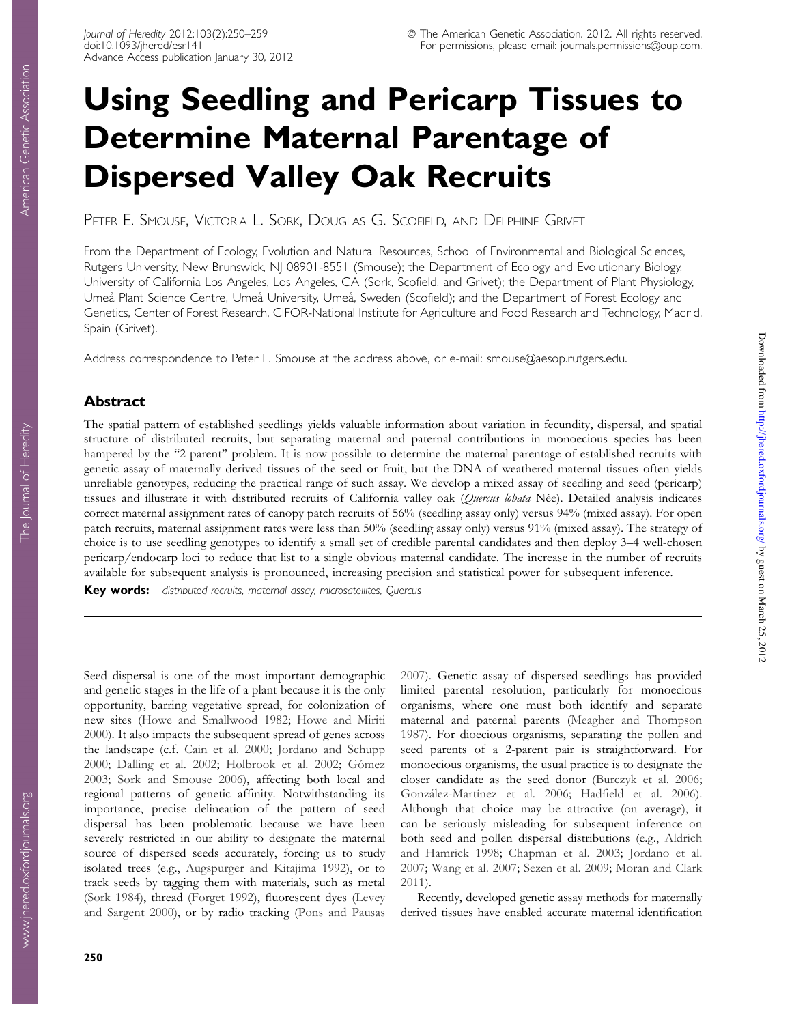# Using Seedling and Pericarp Tissues to Determine Maternal Parentage of Dispersed Valley Oak Recruits

PETER E. SMOUSE, VICTORIA L. SORK, DOUGLAS G. SCOFIELD, AND DELPHINE GRIVET

From the Department of Ecology, Evolution and Natural Resources, School of Environmental and Biological Sciences, Rutgers University, New Brunswick, NJ 08901-8551 (Smouse); the Department of Ecology and Evolutionary Biology, University of California Los Angeles, Los Angeles, CA (Sork, Scofield, and Grivet); the Department of Plant Physiology, Umeå Plant Science Centre, Umeå University, Umeå, Sweden (Scofield); and the Department of Forest Ecology and Genetics, Center of Forest Research, CIFOR-National Institute for Agriculture and Food Research and Technology, Madrid, Spain (Grivet).

Address correspondence to Peter E. Smouse at the address above, or e-mail: smouse@aesop.rutgers.edu.

# **Abstract**

The spatial pattern of established seedlings yields valuable information about variation in fecundity, dispersal, and spatial structure of distributed recruits, but separating maternal and paternal contributions in monoecious species has been hampered by the "2 parent" problem. It is now possible to determine the maternal parentage of established recruits with genetic assay of maternally derived tissues of the seed or fruit, but the DNA of weathered maternal tissues often yields unreliable genotypes, reducing the practical range of such assay. We develop a mixed assay of seedling and seed (pericarp) tissues and illustrate it with distributed recruits of California valley oak (Quercus lobata Née). Detailed analysis indicates correct maternal assignment rates of canopy patch recruits of 56% (seedling assay only) versus 94% (mixed assay). For open patch recruits, maternal assignment rates were less than 50% (seedling assay only) versus 91% (mixed assay). The strategy of choice is to use seedling genotypes to identify a small set of credible parental candidates and then deploy 3–4 well-chosen pericarp/endocarp loci to reduce that list to a single obvious maternal candidate. The increase in the number of recruits available for subsequent analysis is pronounced, increasing precision and statistical power for subsequent inference.

Key words: distributed recruits, maternal assay, microsatellites, Quercus

Seed dispersal is one of the most important demographic and genetic stages in the life of a plant because it is the only opportunity, barring vegetative spread, for colonization of new sites (Howe and Smallwood 1982; Howe and Miriti 2000). It also impacts the subsequent spread of genes across the landscape (c.f. Cain et al. 2000; Jordano and Schupp 2000; Dalling et al. 2002; Holbrook et al. 2002; Gómez 2003; Sork and Smouse 2006), affecting both local and regional patterns of genetic affinity. Notwithstanding its importance, precise delineation of the pattern of seed dispersal has been problematic because we have been severely restricted in our ability to designate the maternal source of dispersed seeds accurately, forcing us to study isolated trees (e.g., Augspurger and Kitajima 1992), or to track seeds by tagging them with materials, such as metal (Sork 1984), thread (Forget 1992), fluorescent dyes (Levey and Sargent 2000), or by radio tracking (Pons and Pausas

250

2007). Genetic assay of dispersed seedlings has provided limited parental resolution, particularly for monoecious organisms, where one must both identify and separate maternal and paternal parents (Meagher and Thompson 1987). For dioecious organisms, separating the pollen and seed parents of a 2-parent pair is straightforward. For monoecious organisms, the usual practice is to designate the closer candidate as the seed donor (Burczyk et al. 2006; González-Martínez et al. 2006; Hadfield et al. 2006). Although that choice may be attractive (on average), it can be seriously misleading for subsequent inference on both seed and pollen dispersal distributions (e.g., Aldrich and Hamrick 1998; Chapman et al. 2003; Jordano et al. 2007; Wang et al. 2007; Sezen et al. 2009; Moran and Clark 2011).

Recently, developed genetic assay methods for maternally derived tissues have enabled accurate maternal identification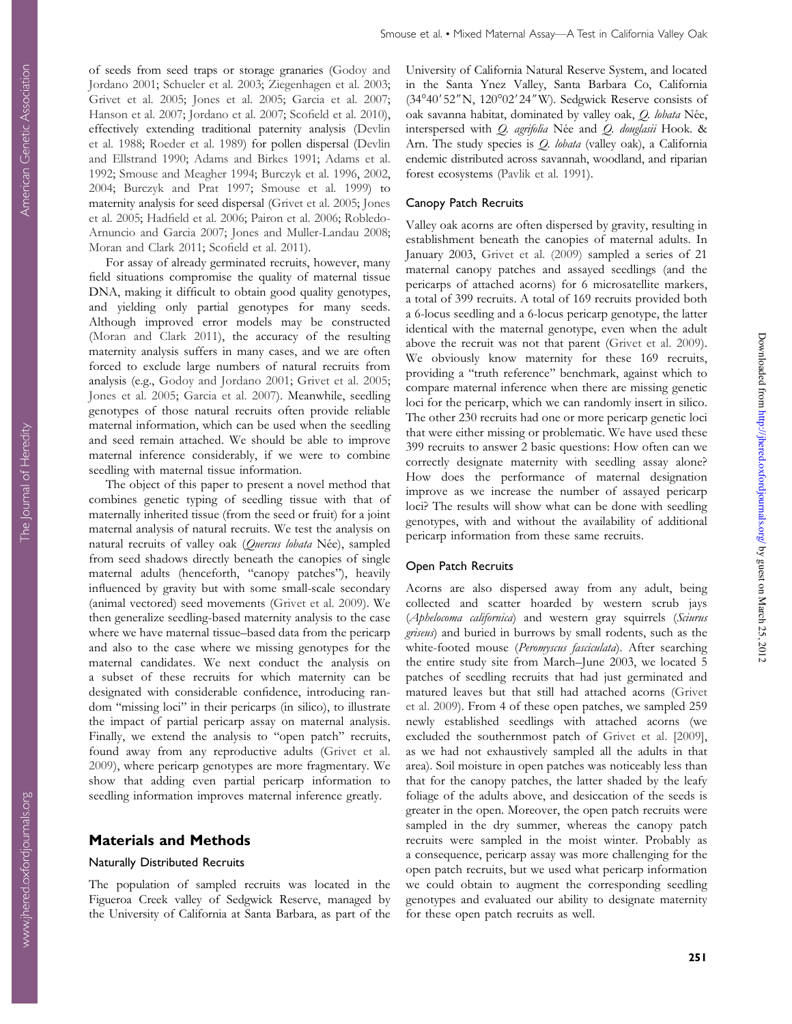of seeds from seed traps or storage granaries (Godoy and Jordano 2001; Schueler et al. 2003; Ziegenhagen et al. 2003; Grivet et al. 2005; Jones et al. 2005; Garcia et al. 2007; Hanson et al. 2007; Jordano et al. 2007; Scofield et al. 2010), effectively extending traditional paternity analysis (Devlin et al. 1988; Roeder et al. 1989) for pollen dispersal (Devlin and Ellstrand 1990; Adams and Birkes 1991; Adams et al. 1992; Smouse and Meagher 1994; Burczyk et al. 1996, 2002, 2004; Burczyk and Prat 1997; Smouse et al. 1999) to maternity analysis for seed dispersal (Grivet et al. 2005; Jones et al. 2005; Hadfield et al. 2006; Pairon et al. 2006; Robledo-Arnuncio and Garcia 2007; Jones and Muller-Landau 2008; Moran and Clark 2011; Scofield et al. 2011).

For assay of already germinated recruits, however, many field situations compromise the quality of maternal tissue DNA, making it difficult to obtain good quality genotypes, and yielding only partial genotypes for many seeds. Although improved error models may be constructed (Moran and Clark 2011), the accuracy of the resulting maternity analysis suffers in many cases, and we are often forced to exclude large numbers of natural recruits from analysis (e.g., Godoy and Jordano 2001; Grivet et al. 2005; Jones et al. 2005; Garcia et al. 2007). Meanwhile, seedling genotypes of those natural recruits often provide reliable maternal information, which can be used when the seedling and seed remain attached. We should be able to improve maternal inference considerably, if we were to combine seedling with maternal tissue information.

The object of this paper to present a novel method that combines genetic typing of seedling tissue with that of maternally inherited tissue (from the seed or fruit) for a joint maternal analysis of natural recruits. We test the analysis on natural recruits of valley oak (Quercus lobata Née), sampled from seed shadows directly beneath the canopies of single maternal adults (henceforth, ''canopy patches''), heavily influenced by gravity but with some small-scale secondary (animal vectored) seed movements (Grivet et al. 2009). We then generalize seedling-based maternity analysis to the case where we have maternal tissue–based data from the pericarp and also to the case where we missing genotypes for the maternal candidates. We next conduct the analysis on a subset of these recruits for which maternity can be designated with considerable confidence, introducing random ''missing loci'' in their pericarps (in silico), to illustrate the impact of partial pericarp assay on maternal analysis. Finally, we extend the analysis to "open patch" recruits, found away from any reproductive adults (Grivet et al. 2009), where pericarp genotypes are more fragmentary. We show that adding even partial pericarp information to seedling information improves maternal inference greatly.

## Materials and Methods

#### Naturally Distributed Recruits

The population of sampled recruits was located in the Figueroa Creek valley of Sedgwick Reserve, managed by the University of California at Santa Barbara, as part of the University of California Natural Reserve System, and located in the Santa Ynez Valley, Santa Barbara Co, California (34°40'52" N, 120°02' 24" W). Sedgwick Reserve consists of oak savanna habitat, dominated by valley oak, Q. lobata Née, interspersed with Q. agrifolia Née and Q. douglasii Hook. & Arn. The study species is *Q. lobata* (valley oak), a California endemic distributed across savannah, woodland, and riparian forest ecosystems (Pavlik et al. 1991).

## Canopy Patch Recruits

Valley oak acorns are often dispersed by gravity, resulting in establishment beneath the canopies of maternal adults. In January 2003, Grivet et al. (2009) sampled a series of 21 maternal canopy patches and assayed seedlings (and the pericarps of attached acorns) for 6 microsatellite markers, a total of 399 recruits. A total of 169 recruits provided both a 6-locus seedling and a 6-locus pericarp genotype, the latter identical with the maternal genotype, even when the adult above the recruit was not that parent (Grivet et al. 2009). We obviously know maternity for these 169 recruits, providing a ''truth reference'' benchmark, against which to compare maternal inference when there are missing genetic loci for the pericarp, which we can randomly insert in silico. The other 230 recruits had one or more pericarp genetic loci that were either missing or problematic. We have used these 399 recruits to answer 2 basic questions: How often can we correctly designate maternity with seedling assay alone? How does the performance of maternal designation improve as we increase the number of assayed pericarp loci? The results will show what can be done with seedling genotypes, with and without the availability of additional pericarp information from these same recruits.

#### Open Patch Recruits

Acorns are also dispersed away from any adult, being collected and scatter hoarded by western scrub jays (Aphelocoma californica) and western gray squirrels (Sciurus griseus) and buried in burrows by small rodents, such as the white-footed mouse (Peromyscus fasciculata). After searching the entire study site from March–June 2003, we located 5 patches of seedling recruits that had just germinated and matured leaves but that still had attached acorns (Grivet et al. 2009). From 4 of these open patches, we sampled 259 newly established seedlings with attached acorns (we excluded the southernmost patch of Grivet et al. [2009], as we had not exhaustively sampled all the adults in that area). Soil moisture in open patches was noticeably less than that for the canopy patches, the latter shaded by the leafy foliage of the adults above, and desiccation of the seeds is greater in the open. Moreover, the open patch recruits were sampled in the dry summer, whereas the canopy patch recruits were sampled in the moist winter. Probably as a consequence, pericarp assay was more challenging for the open patch recruits, but we used what pericarp information we could obtain to augment the corresponding seedling genotypes and evaluated our ability to designate maternity for these open patch recruits as well.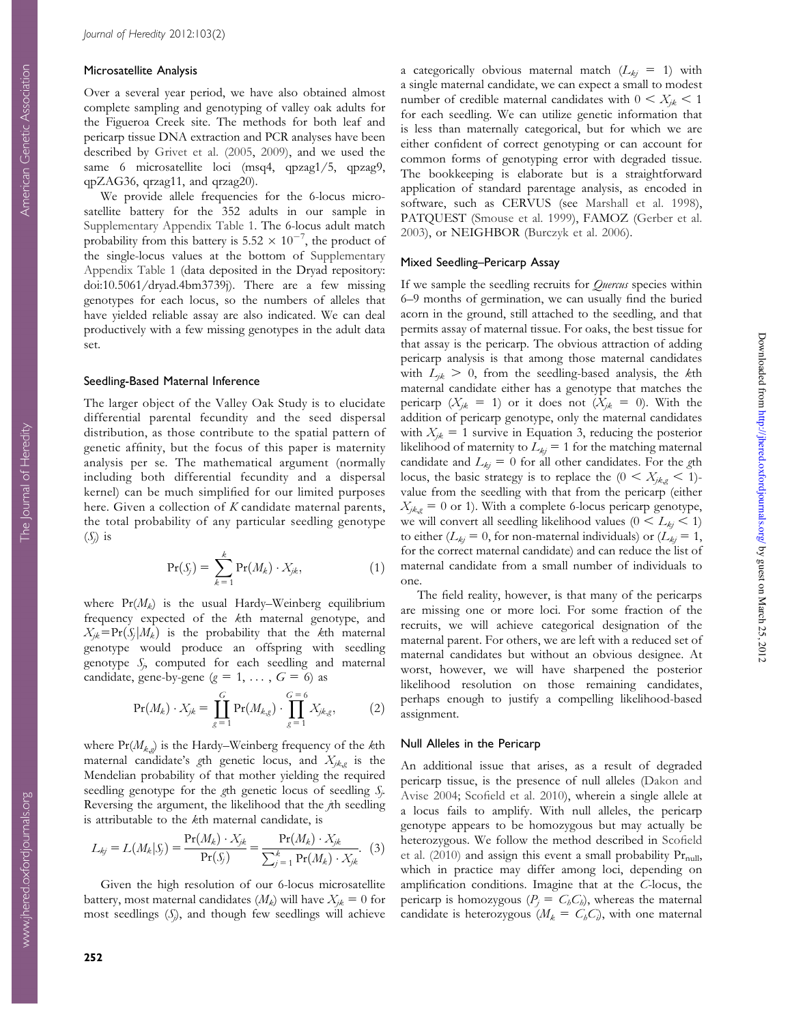#### Microsatellite Analysis

Over a several year period, we have also obtained almost complete sampling and genotyping of valley oak adults for the Figueroa Creek site. The methods for both leaf and pericarp tissue DNA extraction and PCR analyses have been described by Grivet et al. (2005, 2009), and we used the same 6 microsatellite loci (msq4, qpzag1/5, qpzag9, qpZAG36, qrzag11, and qrzag20).

We provide allele frequencies for the 6-locus microsatellite battery for the 352 adults in our sample in Supplementary Appendix Table 1. The 6-locus adult match probability from this battery is  $5.52 \times 10^{-7}$ , the product of the single-locus values at the bottom of Supplementary Appendix Table 1 (data deposited in the Dryad repository: doi:10.5061/dryad.4bm3739j). There are a few missing genotypes for each locus, so the numbers of alleles that have yielded reliable assay are also indicated. We can deal productively with a few missing genotypes in the adult data set.

#### Seedling-Based Maternal Inference

The larger object of the Valley Oak Study is to elucidate differential parental fecundity and the seed dispersal distribution, as those contribute to the spatial pattern of genetic affinity, but the focus of this paper is maternity analysis per se. The mathematical argument (normally including both differential fecundity and a dispersal kernel) can be much simplified for our limited purposes here. Given a collection of  $K$  candidate maternal parents, the total probability of any particular seedling genotype  $(S_j)$  is

$$
\Pr(S_j) = \sum_{k=1}^{k} \Pr(M_k) \cdot X_{jk}, \tag{1}
$$

where  $Pr(M_k)$  is the usual Hardy–Weinberg equilibrium frequency expected of the kth maternal genotype, and  $X_{ik} = Pr(S_i|M_k)$  is the probability that the kth maternal genotype would produce an offspring with seedling genotype  $S_j$ , computed for each seedling and maternal candidate, gene-by-gene ( $g = 1, \ldots, G = 6$ ) as

$$
\Pr(M_k) \cdot X_{jk} = \prod_{g=1}^{G} \Pr(M_{k,g}) \cdot \prod_{g=1}^{G=6} X_{jk,g}, \tag{2}
$$

where  $Pr(M_{k,g})$  is the Hardy–Weinberg frequency of the kth maternal candidate's gth genetic locus, and  $X_{jk,g}$  is the Mendelian probability of that mother yielding the required seedling genotype for the gth genetic locus of seedling  $S_j$ . Reversing the argument, the likelihood that the *j*th seedling is attributable to the kth maternal candidate, is

$$
L_{kj} = L(M_k|S_j) = \frac{\Pr(M_k) \cdot X_{jk}}{\Pr(S_j)} = \frac{\Pr(M_k) \cdot X_{jk}}{\sum_{j=1}^k \Pr(M_k) \cdot X_{jk}}.
$$
 (3)

Given the high resolution of our 6-locus microsatellite battery, most maternal candidates  $(M_k)$  will have  $X_{ik} = 0$  for most seedlings (Sj ), and though few seedlings will achieve

a categorically obvious maternal match  $(L_{kj} = 1)$  with a single maternal candidate, we can expect a small to modest number of credible maternal candidates with  $0 \lt X_{jk} \lt 1$ for each seedling. We can utilize genetic information that is less than maternally categorical, but for which we are either confident of correct genotyping or can account for common forms of genotyping error with degraded tissue. The bookkeeping is elaborate but is a straightforward application of standard parentage analysis, as encoded in software, such as CERVUS (see Marshall et al. 1998), PATQUEST (Smouse et al. 1999), FAMOZ (Gerber et al. 2003), or NEIGHBOR (Burczyk et al. 2006).

#### Mixed Seedling–Pericarp Assay

If we sample the seedling recruits for Quercus species within 6–9 months of germination, we can usually find the buried acorn in the ground, still attached to the seedling, and that permits assay of maternal tissue. For oaks, the best tissue for that assay is the pericarp. The obvious attraction of adding pericarp analysis is that among those maternal candidates with  $L_{ik} > 0$ , from the seedling-based analysis, the kth maternal candidate either has a genotype that matches the pericarp ( $X_{jk} = 1$ ) or it does not ( $X_{jk} = 0$ ). With the addition of pericarp genotype, only the maternal candidates with  $X_{jk} = 1$  survive in Equation 3, reducing the posterior likelihood of maternity to  $L_{kj} = 1$  for the matching maternal candidate and  $L_{kj} = 0$  for all other candidates. For the gth locus, the basic strategy is to replace the  $(0 \lt X_{ik,g} \lt 1)$ value from the seedling with that from the pericarp (either  $X_{ik,g} = 0$  or 1). With a complete 6-locus pericarp genotype, we will convert all seedling likelihood values ( $0 < L_{kj} < 1$ ) to either ( $L_{kj}$  = 0, for non-maternal individuals) or ( $L_{kj}$  = 1, for the correct maternal candidate) and can reduce the list of maternal candidate from a small number of individuals to one.

The field reality, however, is that many of the pericarps are missing one or more loci. For some fraction of the recruits, we will achieve categorical designation of the maternal parent. For others, we are left with a reduced set of maternal candidates but without an obvious designee. At worst, however, we will have sharpened the posterior likelihood resolution on those remaining candidates, perhaps enough to justify a compelling likelihood-based assignment.

### Null Alleles in the Pericarp

An additional issue that arises, as a result of degraded pericarp tissue, is the presence of null alleles (Dakon and Avise 2004; Scofield et al. 2010), wherein a single allele at a locus fails to amplify. With null alleles, the pericarp genotype appears to be homozygous but may actually be heterozygous. We follow the method described in Scofield et al. (2010) and assign this event a small probability  $Pr_{null}$ , which in practice may differ among loci, depending on amplification conditions. Imagine that at the C-locus, the pericarp is homozygous ( $P_i = C_b C_b$ ), whereas the maternal candidate is heterozygous ( $M_k = C_b C_i$ ), with one maternal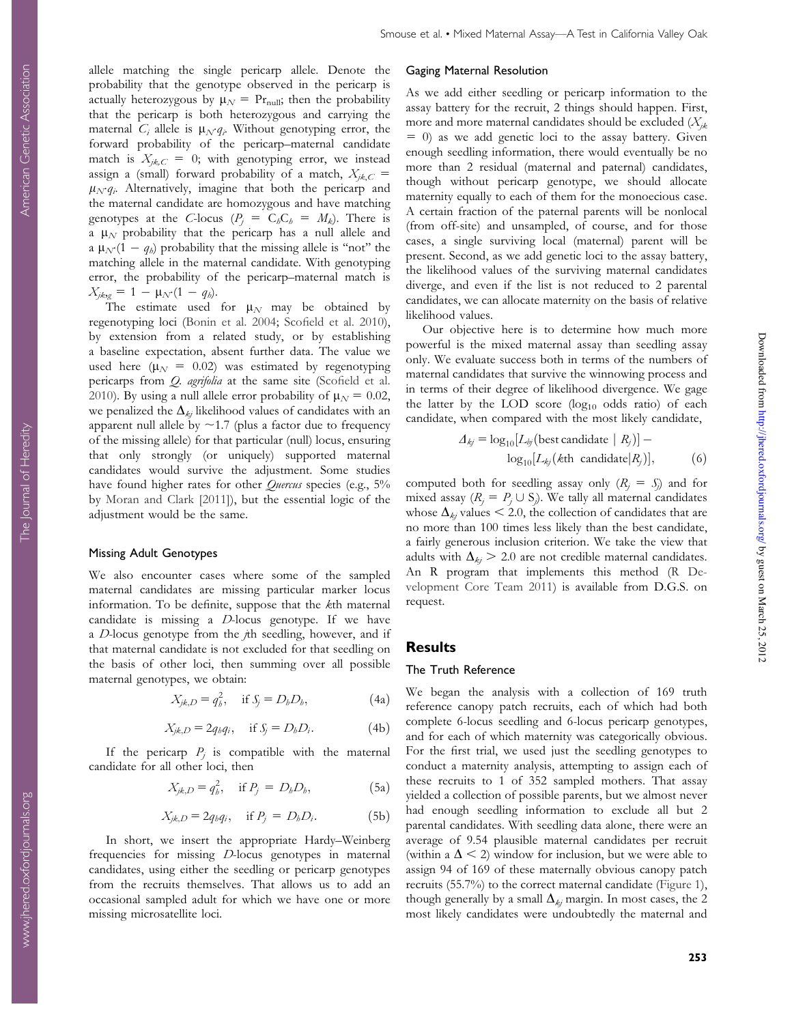allele matching the single pericarp allele. Denote the probability that the genotype observed in the pericarp is actually heterozygous by  $\mu_N = Pr_{null}$ ; then the probability that the pericarp is both heterozygous and carrying the maternal  $C_i$  allele is  $\mu_N q_i$ . Without genotyping error, the forward probability of the pericarp–maternal candidate match is  $X_{ik,C} = 0$ ; with genotyping error, we instead assign a (small) forward probability of a match,  $X_{ik,C}$  =  $\mu_N q_i$ . Alternatively, imagine that both the pericarp and the maternal candidate are homozygous and have matching genotypes at the C-locus  $(P_j = C_b C_b = M_k)$ . There is a  $\mu_N$  probability that the pericarp has a null allele and a  $\mu_{N}(1 - q_b)$  probability that the missing allele is "not" the matching allele in the maternal candidate. With genotyping error, the probability of the pericarp–maternal match is  $X_{ikg} = 1 - \mu_{N}(1 - q_h).$ 

The estimate used for  $\mu_N$  may be obtained by regenotyping loci (Bonin et al. 2004; Scofield et al. 2010), by extension from a related study, or by establishing a baseline expectation, absent further data. The value we used here ( $\mu$  = 0.02) was estimated by regenotyping pericarps from Q. agrifolia at the same site (Scofield et al. 2010). By using a null allele error probability of  $\mu_N = 0.02$ , we penalized the  $\Delta_{kj}$  likelihood values of candidates with an apparent null allele by  $\sim$ 1.7 (plus a factor due to frequency of the missing allele) for that particular (null) locus, ensuring that only strongly (or uniquely) supported maternal candidates would survive the adjustment. Some studies have found higher rates for other *Quercus* species (e.g., 5% by Moran and Clark [2011]), but the essential logic of the adjustment would be the same.

### Missing Adult Genotypes

We also encounter cases where some of the sampled maternal candidates are missing particular marker locus information. To be definite, suppose that the kth maternal candidate is missing a D-locus genotype. If we have a D-locus genotype from the *j*th seedling, however, and if that maternal candidate is not excluded for that seedling on the basis of other loci, then summing over all possible maternal genotypes, we obtain:

$$
X_{jk,D} = q_b^2, \quad \text{if } S_j = D_b D_b,
$$
\n
$$
\tag{4a}
$$

$$
X_{jk,D} = 2q_b q_i, \quad \text{if } S_j = D_b D_i. \tag{4b}
$$

If the pericarp  $P_j$  is compatible with the maternal candidate for all other loci, then

$$
X_{jk,D} = q_b^2, \quad \text{if } P_j = D_b D_b,
$$
 (5a)

$$
X_{jk,D} = 2q_b q_i, \quad \text{if } P_j = D_b D_i. \tag{5b}
$$

In short, we insert the appropriate Hardy–Weinberg frequencies for missing D-locus genotypes in maternal candidates, using either the seedling or pericarp genotypes from the recruits themselves. That allows us to add an occasional sampled adult for which we have one or more missing microsatellite loci.

#### Gaging Maternal Resolution

As we add either seedling or pericarp information to the assay battery for the recruit, 2 things should happen. First, more and more maternal candidates should be excluded  $(X_{ik})$  $= 0$ ) as we add genetic loci to the assay battery. Given enough seedling information, there would eventually be no more than 2 residual (maternal and paternal) candidates, though without pericarp genotype, we should allocate maternity equally to each of them for the monoecious case. A certain fraction of the paternal parents will be nonlocal (from off-site) and unsampled, of course, and for those cases, a single surviving local (maternal) parent will be present. Second, as we add genetic loci to the assay battery, the likelihood values of the surviving maternal candidates diverge, and even if the list is not reduced to 2 parental candidates, we can allocate maternity on the basis of relative likelihood values.

Our objective here is to determine how much more powerful is the mixed maternal assay than seedling assay only. We evaluate success both in terms of the numbers of maternal candidates that survive the winnowing process and in terms of their degree of likelihood divergence. We gage the latter by the LOD score  $(log_{10}$  odds ratio) of each candidate, when compared with the most likely candidate,

$$
\Delta_{kj} = \log_{10}[L_{kj}(\text{best candidate} \mid R_j)] - \log_{10}[L_{kj}(k\text{th candidate} \mid R_j)],\tag{6}
$$

computed both for seedling assay only  $(R_j = S_j)$  and for mixed assay  $(R_j = P_j \cup S_j)$ . We tally all maternal candidates whose  $\Delta_{ki}$  values  $\leq 2.0$ , the collection of candidates that are no more than 100 times less likely than the best candidate, a fairly generous inclusion criterion. We take the view that adults with  $\Delta_{kj}$  > 2.0 are not credible maternal candidates. An R program that implements this method (R Development Core Team 2011) is available from D.G.S. on request.

### Results

#### The Truth Reference

We began the analysis with a collection of 169 truth reference canopy patch recruits, each of which had both complete 6-locus seedling and 6-locus pericarp genotypes, and for each of which maternity was categorically obvious. For the first trial, we used just the seedling genotypes to conduct a maternity analysis, attempting to assign each of these recruits to 1 of 352 sampled mothers. That assay yielded a collection of possible parents, but we almost never had enough seedling information to exclude all but 2 parental candidates. With seedling data alone, there were an average of 9.54 plausible maternal candidates per recruit (within a  $\Delta$  < 2) window for inclusion, but we were able to assign 94 of 169 of these maternally obvious canopy patch recruits (55.7%) to the correct maternal candidate (Figure 1), though generally by a small  $\Delta_{ki}$  margin. In most cases, the 2 most likely candidates were undoubtedly the maternal and

by guest on March 25, 2012 http://jhered.oxfordjournals.org/ Downloaded from

Downloaded from http://jhered.oxfordjournals.org/ by guest on March 25, 2012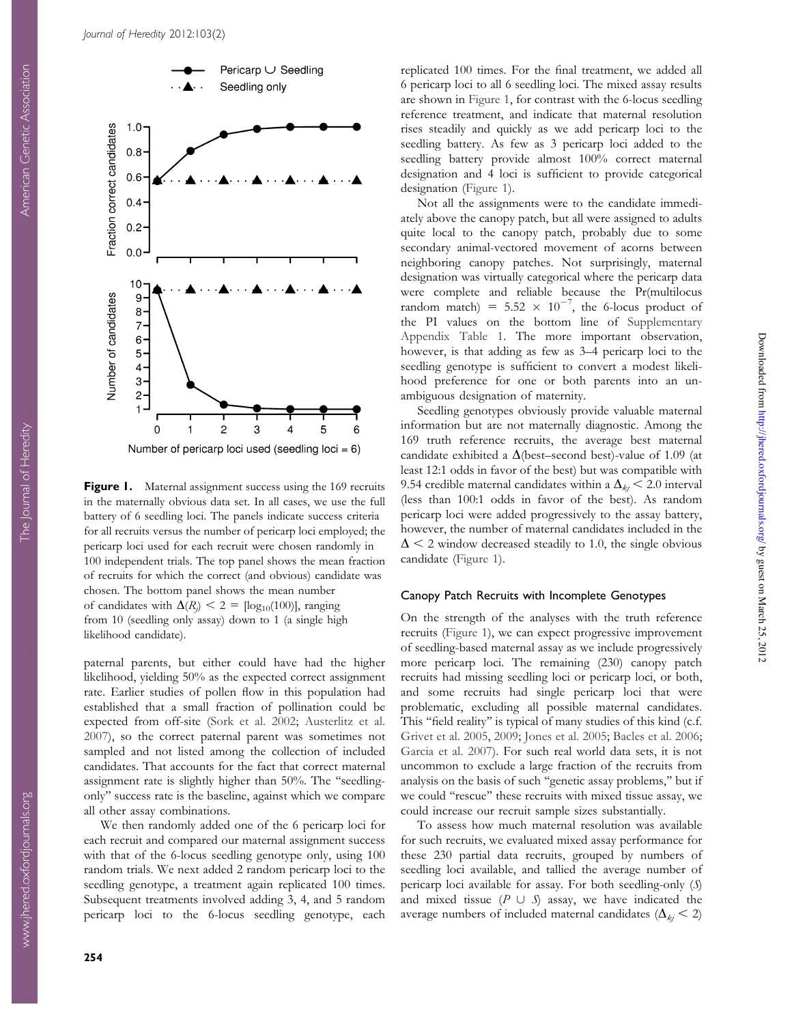

Figure 1. Maternal assignment success using the 169 recruits in the maternally obvious data set. In all cases, we use the full battery of 6 seedling loci. The panels indicate success criteria for all recruits versus the number of pericarp loci employed; the pericarp loci used for each recruit were chosen randomly in 100 independent trials. The top panel shows the mean fraction of recruits for which the correct (and obvious) candidate was chosen. The bottom panel shows the mean number of candidates with  $\Delta(R_j)$  < 2 = [log<sub>10</sub>(100)], ranging from 10 (seedling only assay) down to 1 (a single high likelihood candidate).

paternal parents, but either could have had the higher likelihood, yielding 50% as the expected correct assignment rate. Earlier studies of pollen flow in this population had established that a small fraction of pollination could be expected from off-site (Sork et al. 2002; Austerlitz et al. 2007), so the correct paternal parent was sometimes not sampled and not listed among the collection of included candidates. That accounts for the fact that correct maternal assignment rate is slightly higher than 50%. The ''seedlingonly'' success rate is the baseline, against which we compare all other assay combinations.

We then randomly added one of the 6 pericarp loci for each recruit and compared our maternal assignment success with that of the 6-locus seedling genotype only, using 100 random trials. We next added 2 random pericarp loci to the seedling genotype, a treatment again replicated 100 times. Subsequent treatments involved adding 3, 4, and 5 random pericarp loci to the 6-locus seedling genotype, each

replicated 100 times. For the final treatment, we added all 6 pericarp loci to all 6 seedling loci. The mixed assay results are shown in Figure 1, for contrast with the 6-locus seedling reference treatment, and indicate that maternal resolution rises steadily and quickly as we add pericarp loci to the seedling battery. As few as 3 pericarp loci added to the seedling battery provide almost 100% correct maternal designation and 4 loci is sufficient to provide categorical designation (Figure 1).

Not all the assignments were to the candidate immediately above the canopy patch, but all were assigned to adults quite local to the canopy patch, probably due to some secondary animal-vectored movement of acorns between neighboring canopy patches. Not surprisingly, maternal designation was virtually categorical where the pericarp data were complete and reliable because the Pr(multilocus random match) =  $5.52 \times 10^{-7}$ , the 6-locus product of the PI values on the bottom line of Supplementary Appendix Table 1. The more important observation, however, is that adding as few as 3–4 pericarp loci to the seedling genotype is sufficient to convert a modest likelihood preference for one or both parents into an unambiguous designation of maternity.

Seedling genotypes obviously provide valuable maternal information but are not maternally diagnostic. Among the 169 truth reference recruits, the average best maternal candidate exhibited a  $\Delta$ (best–second best)-value of 1.09 (at least 12:1 odds in favor of the best) but was compatible with 9.54 credible maternal candidates within a  $\Delta_{ki}$  < 2.0 interval (less than 100:1 odds in favor of the best). As random pericarp loci were added progressively to the assay battery, however, the number of maternal candidates included in the  $\Delta$  < 2 window decreased steadily to 1.0, the single obvious candidate (Figure 1).

## Canopy Patch Recruits with Incomplete Genotypes

On the strength of the analyses with the truth reference recruits (Figure 1), we can expect progressive improvement of seedling-based maternal assay as we include progressively more pericarp loci. The remaining (230) canopy patch recruits had missing seedling loci or pericarp loci, or both, and some recruits had single pericarp loci that were problematic, excluding all possible maternal candidates. This "field reality" is typical of many studies of this kind (c.f. Grivet et al. 2005, 2009; Jones et al. 2005; Bacles et al. 2006; Garcia et al. 2007). For such real world data sets, it is not uncommon to exclude a large fraction of the recruits from analysis on the basis of such ''genetic assay problems,'' but if we could ''rescue'' these recruits with mixed tissue assay, we could increase our recruit sample sizes substantially.

To assess how much maternal resolution was available for such recruits, we evaluated mixed assay performance for these 230 partial data recruits, grouped by numbers of seedling loci available, and tallied the average number of pericarp loci available for assay. For both seedling-only (S) and mixed tissue ( $P \cup S$ ) assay, we have indicated the average numbers of included maternal candidates ( $\Delta_{kj}$  < 2)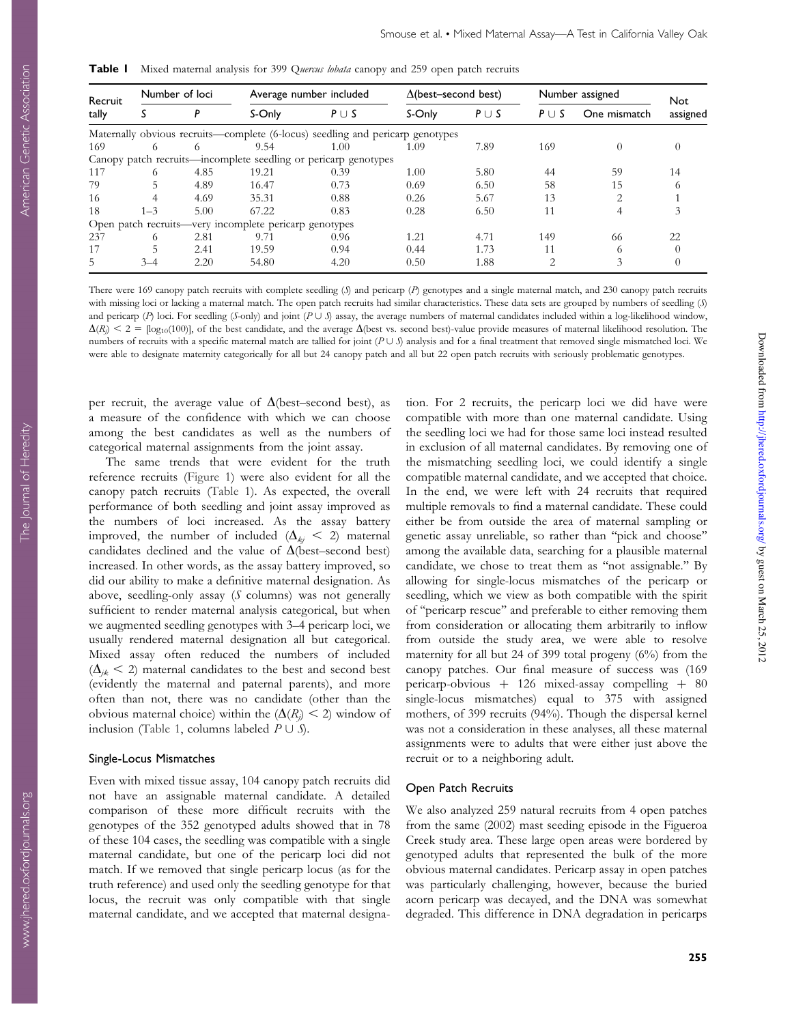|  | Table I Mixed maternal analysis for 399 Quercus lobata canopy and 259 open patch recruits |  |  |  |  |  |  |
|--|-------------------------------------------------------------------------------------------|--|--|--|--|--|--|
|--|-------------------------------------------------------------------------------------------|--|--|--|--|--|--|

| Recruit<br>tally |         | Number of loci |                                                        | Average number included                                                        |        | $\Delta$ (best-second best) |            | Number assigned |                        |
|------------------|---------|----------------|--------------------------------------------------------|--------------------------------------------------------------------------------|--------|-----------------------------|------------|-----------------|------------------------|
|                  |         | P              | S-Only                                                 | $P \cup S$                                                                     | S-Only | $P \cup S$                  | $P \cup S$ | One mismatch    | <b>Not</b><br>assigned |
|                  |         |                |                                                        | Maternally obvious recruits—complete (6-locus) seedling and pericarp genotypes |        |                             |            |                 |                        |
| 169              | 6       | 6              | 9.54                                                   | 1.00                                                                           | 1.09   | 7.89                        | 169        | $\Omega$        | $\left( \right)$       |
|                  |         |                |                                                        | Canopy patch recruits—incomplete seedling or pericarp genotypes                |        |                             |            |                 |                        |
| 117              | 6       | 4.85           | 19.21                                                  | 0.39                                                                           | 1.00   | 5.80                        | 44         | 59              | 14                     |
| 79               | 5       | 4.89           | 16.47                                                  | 0.73                                                                           | 0.69   | 6.50                        | 58         | 15              |                        |
| 16               | 4       | 4.69           | 35.31                                                  | 0.88                                                                           | 0.26   | 5.67                        | 13         | 2               |                        |
| 18               | $1 - 3$ | 5.00           | 67.22                                                  | 0.83                                                                           | 0.28   | 6.50                        | 11         | 4               |                        |
|                  |         |                | Open patch recruits—very incomplete pericarp genotypes |                                                                                |        |                             |            |                 |                        |
| 237              | 6       | 2.81           | 9.71                                                   | 0.96                                                                           | 1.21   | 4.71                        | 149        | 66              | 22                     |
| 17               | h       | 2.41           | 19.59                                                  | 0.94                                                                           | 0.44   | 1.73                        | 11         | $^{(1)}$        |                        |
|                  | $-4$    | 2.20           | 54.80                                                  | 4.20                                                                           | 0.50   | 1.88                        | 2          | 3               |                        |

There were 169 canopy patch recruits with complete seedling (S) and pericarp (P) genotypes and a single maternal match, and 230 canopy patch recruits with missing loci or lacking a maternal match. The open patch recruits had similar characteristics. These data sets are grouped by numbers of seedling (5) and pericarp (P) loci. For seedling (S-only) and joint (P $\cup$  S) assay, the average numbers of maternal candidates included within a log-likelihood window,  $\Delta(R_j) \leq 2 = [\log_{10}(100)],$  of the best candidate, and the average  $\Delta$ (best vs. second best)-value provide measures of maternal likelihood resolution. The numbers of recruits with a specific maternal match are tallied for joint  $(P \cup S)$  analysis and for a final treatment that removed single mismatched loci. We were able to designate maternity categorically for all but 24 canopy patch and all but 22 open patch recruits with seriously problematic genotypes.

per recruit, the average value of  $\Delta$ (best–second best), as a measure of the confidence with which we can choose among the best candidates as well as the numbers of categorical maternal assignments from the joint assay.

The same trends that were evident for the truth reference recruits (Figure 1) were also evident for all the canopy patch recruits (Table 1). As expected, the overall performance of both seedling and joint assay improved as the numbers of loci increased. As the assay battery improved, the number of included  $(\Delta_{ki} < 2)$  maternal candidates declined and the value of  $\Delta$ (best–second best) increased. In other words, as the assay battery improved, so did our ability to make a definitive maternal designation. As above, seedling-only assay (S columns) was not generally sufficient to render maternal analysis categorical, but when we augmented seedling genotypes with 3–4 pericarp loci, we usually rendered maternal designation all but categorical. Mixed assay often reduced the numbers of included  $(\Delta_{ik}$  < 2) maternal candidates to the best and second best (evidently the maternal and paternal parents), and more often than not, there was no candidate (other than the obvious maternal choice) within the  $(\Delta(R_j) \leq 2)$  window of inclusion (Table 1, columns labeled  $P \cup S$ ).

### Single-Locus Mismatches

Even with mixed tissue assay, 104 canopy patch recruits did not have an assignable maternal candidate. A detailed comparison of these more difficult recruits with the genotypes of the 352 genotyped adults showed that in 78 of these 104 cases, the seedling was compatible with a single maternal candidate, but one of the pericarp loci did not match. If we removed that single pericarp locus (as for the truth reference) and used only the seedling genotype for that locus, the recruit was only compatible with that single maternal candidate, and we accepted that maternal designa-

tion. For 2 recruits, the pericarp loci we did have were compatible with more than one maternal candidate. Using the seedling loci we had for those same loci instead resulted in exclusion of all maternal candidates. By removing one of the mismatching seedling loci, we could identify a single compatible maternal candidate, and we accepted that choice. In the end, we were left with 24 recruits that required multiple removals to find a maternal candidate. These could either be from outside the area of maternal sampling or genetic assay unreliable, so rather than ''pick and choose'' among the available data, searching for a plausible maternal candidate, we chose to treat them as ''not assignable.'' By allowing for single-locus mismatches of the pericarp or seedling, which we view as both compatible with the spirit of ''pericarp rescue'' and preferable to either removing them from consideration or allocating them arbitrarily to inflow from outside the study area, we were able to resolve maternity for all but 24 of 399 total progeny (6%) from the canopy patches. Our final measure of success was (169 pericarp-obvious  $+$  126 mixed-assay compelling  $+$  80 single-locus mismatches) equal to 375 with assigned mothers, of 399 recruits (94%). Though the dispersal kernel was not a consideration in these analyses, all these maternal assignments were to adults that were either just above the recruit or to a neighboring adult.

## Open Patch Recruits

We also analyzed 259 natural recruits from 4 open patches from the same (2002) mast seeding episode in the Figueroa Creek study area. These large open areas were bordered by genotyped adults that represented the bulk of the more obvious maternal candidates. Pericarp assay in open patches was particularly challenging, however, because the buried acorn pericarp was decayed, and the DNA was somewhat degraded. This difference in DNA degradation in pericarps

by guest on March 25, 2012 http://jhered.oxfordjournals.org/ Downloaded from

Downloaded from http://jhered.oxfordjournals.org/ by guest on March 25, 2012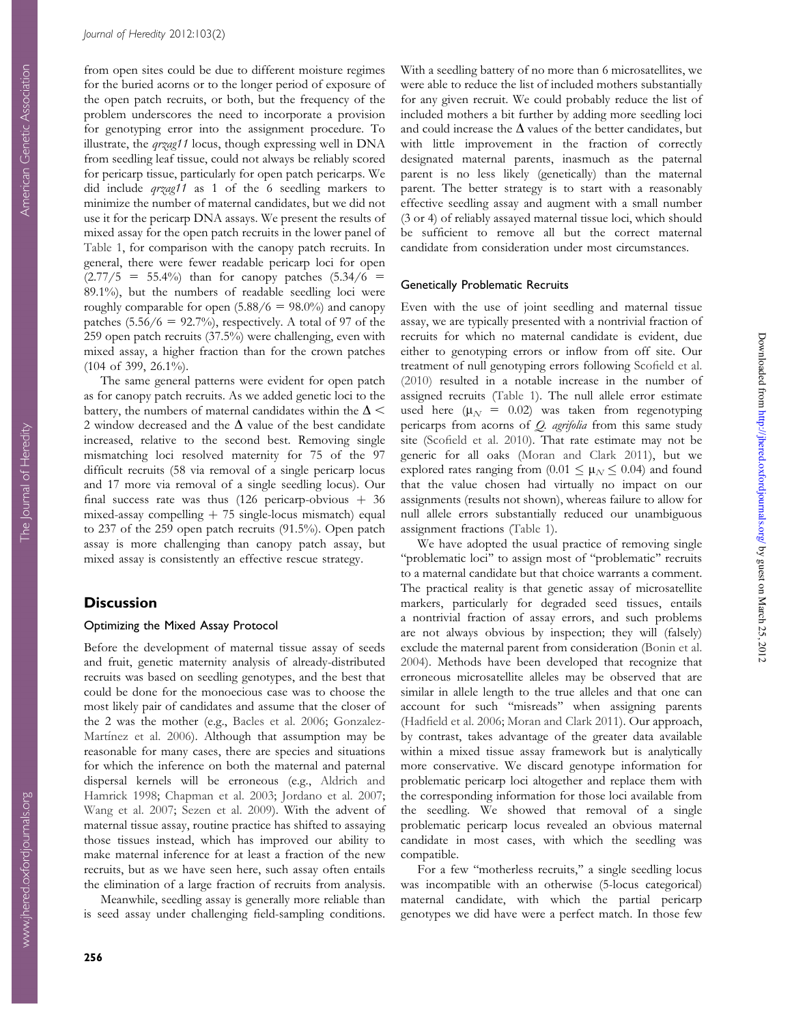from open sites could be due to different moisture regimes for the buried acorns or to the longer period of exposure of the open patch recruits, or both, but the frequency of the problem underscores the need to incorporate a provision for genotyping error into the assignment procedure. To illustrate, the qrzag11 locus, though expressing well in DNA from seedling leaf tissue, could not always be reliably scored for pericarp tissue, particularly for open patch pericarps. We did include *qrzag11* as 1 of the 6 seedling markers to minimize the number of maternal candidates, but we did not use it for the pericarp DNA assays. We present the results of mixed assay for the open patch recruits in the lower panel of Table 1, for comparison with the canopy patch recruits. In general, there were fewer readable pericarp loci for open  $(2.77/5 = 55.4\%)$  than for canopy patches  $(5.34/6 =$ 89.1%), but the numbers of readable seedling loci were roughly comparable for open  $(5.88/6 = 98.0\%)$  and canopy patches  $(5.56/6 = 92.7%)$ , respectively. A total of 97 of the 259 open patch recruits (37.5%) were challenging, even with mixed assay, a higher fraction than for the crown patches (104 of 399, 26.1%).

The same general patterns were evident for open patch as for canopy patch recruits. As we added genetic loci to the battery, the numbers of maternal candidates within the  $\Delta$  < 2 window decreased and the  $\Delta$  value of the best candidate increased, relative to the second best. Removing single mismatching loci resolved maternity for 75 of the 97 difficult recruits (58 via removal of a single pericarp locus and 17 more via removal of a single seedling locus). Our final success rate was thus  $(126$  pericarp-obvious  $+36$ mixed-assay compelling  $+75$  single-locus mismatch) equal to 237 of the 259 open patch recruits (91.5%). Open patch assay is more challenging than canopy patch assay, but mixed assay is consistently an effective rescue strategy.

## **Discussion**

## Optimizing the Mixed Assay Protocol

Before the development of maternal tissue assay of seeds and fruit, genetic maternity analysis of already-distributed recruits was based on seedling genotypes, and the best that could be done for the monoecious case was to choose the most likely pair of candidates and assume that the closer of the 2 was the mother (e.g., Bacles et al. 2006; Gonzalez-Martínez et al. 2006). Although that assumption may be reasonable for many cases, there are species and situations for which the inference on both the maternal and paternal dispersal kernels will be erroneous (e.g., Aldrich and Hamrick 1998; Chapman et al. 2003; Jordano et al. 2007; Wang et al. 2007; Sezen et al. 2009). With the advent of maternal tissue assay, routine practice has shifted to assaying those tissues instead, which has improved our ability to make maternal inference for at least a fraction of the new recruits, but as we have seen here, such assay often entails the elimination of a large fraction of recruits from analysis.

Meanwhile, seedling assay is generally more reliable than is seed assay under challenging field-sampling conditions.

256

With a seedling battery of no more than 6 microsatellites, we were able to reduce the list of included mothers substantially for any given recruit. We could probably reduce the list of included mothers a bit further by adding more seedling loci and could increase the  $\Delta$  values of the better candidates, but with little improvement in the fraction of correctly designated maternal parents, inasmuch as the paternal parent is no less likely (genetically) than the maternal parent. The better strategy is to start with a reasonably effective seedling assay and augment with a small number (3 or 4) of reliably assayed maternal tissue loci, which should be sufficient to remove all but the correct maternal candidate from consideration under most circumstances.

#### Genetically Problematic Recruits

Even with the use of joint seedling and maternal tissue assay, we are typically presented with a nontrivial fraction of recruits for which no maternal candidate is evident, due either to genotyping errors or inflow from off site. Our treatment of null genotyping errors following Scofield et al. (2010) resulted in a notable increase in the number of assigned recruits (Table 1). The null allele error estimate used here ( $\mu_N = 0.02$ ) was taken from regenotyping pericarps from acorns of Q. agrifolia from this same study site (Scofield et al. 2010). That rate estimate may not be generic for all oaks (Moran and Clark 2011), but we explored rates ranging from (0.01  $\leq \mu_N \leq 0.04$ ) and found that the value chosen had virtually no impact on our assignments (results not shown), whereas failure to allow for null allele errors substantially reduced our unambiguous assignment fractions (Table 1).

We have adopted the usual practice of removing single "problematic loci" to assign most of "problematic" recruits to a maternal candidate but that choice warrants a comment. The practical reality is that genetic assay of microsatellite markers, particularly for degraded seed tissues, entails a nontrivial fraction of assay errors, and such problems are not always obvious by inspection; they will (falsely) exclude the maternal parent from consideration (Bonin et al. 2004). Methods have been developed that recognize that erroneous microsatellite alleles may be observed that are similar in allele length to the true alleles and that one can account for such ''misreads'' when assigning parents (Hadfield et al. 2006; Moran and Clark 2011). Our approach, by contrast, takes advantage of the greater data available within a mixed tissue assay framework but is analytically more conservative. We discard genotype information for problematic pericarp loci altogether and replace them with the corresponding information for those loci available from the seedling. We showed that removal of a single problematic pericarp locus revealed an obvious maternal candidate in most cases, with which the seedling was compatible.

For a few ''motherless recruits,'' a single seedling locus was incompatible with an otherwise (5-locus categorical) maternal candidate, with which the partial pericarp genotypes we did have were a perfect match. In those few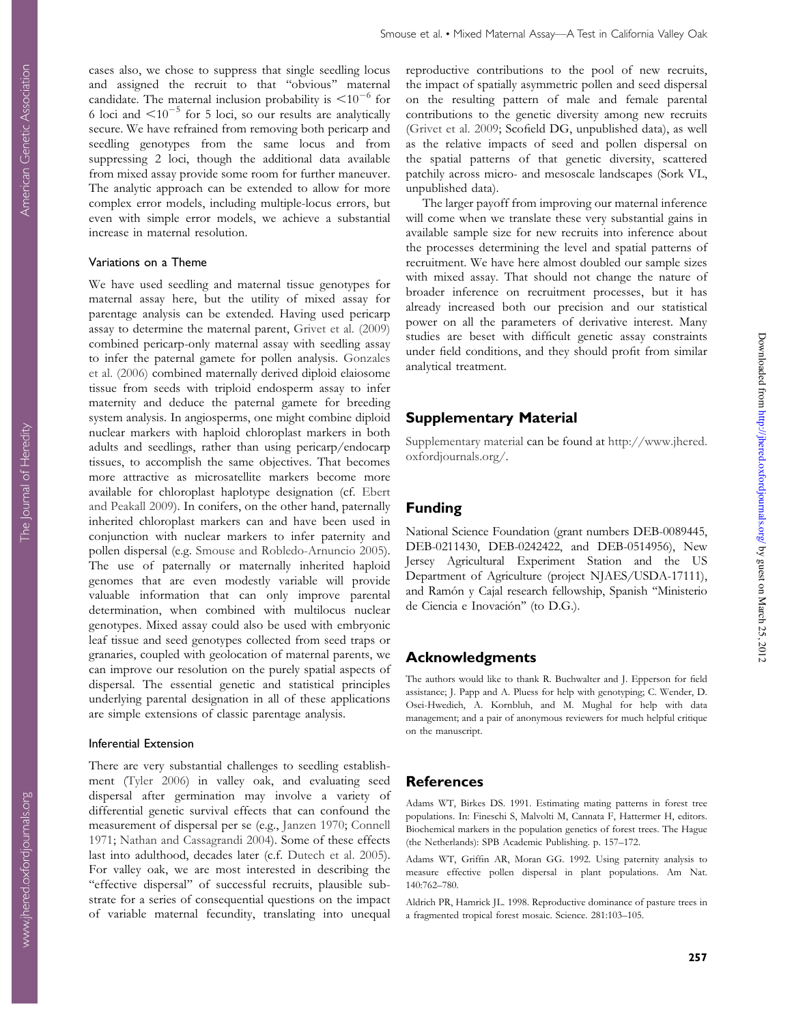cases also, we chose to suppress that single seedling locus and assigned the recruit to that ''obvious'' maternal candidate. The maternal inclusion probability is  $\leq 10^{-6}$  for 6 loci and  $\leq 10^{-5}$  for 5 loci, so our results are analytically secure. We have refrained from removing both pericarp and seedling genotypes from the same locus and from suppressing 2 loci, though the additional data available from mixed assay provide some room for further maneuver. The analytic approach can be extended to allow for more complex error models, including multiple-locus errors, but even with simple error models, we achieve a substantial increase in maternal resolution.

#### Variations on a Theme

We have used seedling and maternal tissue genotypes for maternal assay here, but the utility of mixed assay for parentage analysis can be extended. Having used pericarp assay to determine the maternal parent, Grivet et al. (2009) combined pericarp-only maternal assay with seedling assay to infer the paternal gamete for pollen analysis. Gonzales et al. (2006) combined maternally derived diploid elaiosome tissue from seeds with triploid endosperm assay to infer maternity and deduce the paternal gamete for breeding system analysis. In angiosperms, one might combine diploid nuclear markers with haploid chloroplast markers in both adults and seedlings, rather than using pericarp/endocarp tissues, to accomplish the same objectives. That becomes more attractive as microsatellite markers become more available for chloroplast haplotype designation (cf. Ebert and Peakall 2009). In conifers, on the other hand, paternally inherited chloroplast markers can and have been used in conjunction with nuclear markers to infer paternity and pollen dispersal (e.g. Smouse and Robledo-Arnuncio 2005). The use of paternally or maternally inherited haploid genomes that are even modestly variable will provide valuable information that can only improve parental determination, when combined with multilocus nuclear genotypes. Mixed assay could also be used with embryonic leaf tissue and seed genotypes collected from seed traps or granaries, coupled with geolocation of maternal parents, we can improve our resolution on the purely spatial aspects of dispersal. The essential genetic and statistical principles underlying parental designation in all of these applications are simple extensions of classic parentage analysis.

#### Inferential Extension

There are very substantial challenges to seedling establishment (Tyler 2006) in valley oak, and evaluating seed dispersal after germination may involve a variety of differential genetic survival effects that can confound the measurement of dispersal per se (e.g., Janzen 1970; Connell 1971; Nathan and Cassagrandi 2004). Some of these effects last into adulthood, decades later (c.f. Dutech et al. 2005). For valley oak, we are most interested in describing the "effective dispersal" of successful recruits, plausible substrate for a series of consequential questions on the impact of variable maternal fecundity, translating into unequal

reproductive contributions to the pool of new recruits, the impact of spatially asymmetric pollen and seed dispersal on the resulting pattern of male and female parental contributions to the genetic diversity among new recruits (Grivet et al. 2009; Scofield DG, unpublished data), as well as the relative impacts of seed and pollen dispersal on the spatial patterns of that genetic diversity, scattered patchily across micro- and mesoscale landscapes (Sork VL, unpublished data).

The larger payoff from improving our maternal inference will come when we translate these very substantial gains in available sample size for new recruits into inference about the processes determining the level and spatial patterns of recruitment. We have here almost doubled our sample sizes with mixed assay. That should not change the nature of broader inference on recruitment processes, but it has already increased both our precision and our statistical power on all the parameters of derivative interest. Many studies are beset with difficult genetic assay constraints under field conditions, and they should profit from similar analytical treatment.

## Supplementary Material

Supplementary material can be found at http://www.jhered. oxfordjournals.org/.

## Funding

National Science Foundation (grant numbers DEB-0089445, DEB-0211430, DEB-0242422, and DEB-0514956), New Jersey Agricultural Experiment Station and the US Department of Agriculture (project NJAES/USDA-17111), and Ramón y Cajal research fellowship, Spanish "Ministerio de Ciencia e Inovación" (to D.G.).

## Acknowledgments

The authors would like to thank R. Buchwalter and J. Epperson for field assistance; J. Papp and A. Pluess for help with genotyping; C. Wender, D. Osei-Hwedieh, A. Kornbluh, and M. Mughal for help with data management; and a pair of anonymous reviewers for much helpful critique on the manuscript.

## **References**

Adams WT, Birkes DS. 1991. Estimating mating patterns in forest tree populations. In: Fineschi S, Malvolti M, Cannata F, Hattermer H, editors. Biochemical markers in the population genetics of forest trees. The Hague (the Netherlands): SPB Academic Publishing. p. 157–172.

Adams WT, Griffin AR, Moran GG. 1992. Using paternity analysis to measure effective pollen dispersal in plant populations. Am Nat. 140:762–780.

Aldrich PR, Hamrick JL. 1998. Reproductive dominance of pasture trees in a fragmented tropical forest mosaic. Science. 281:103–105.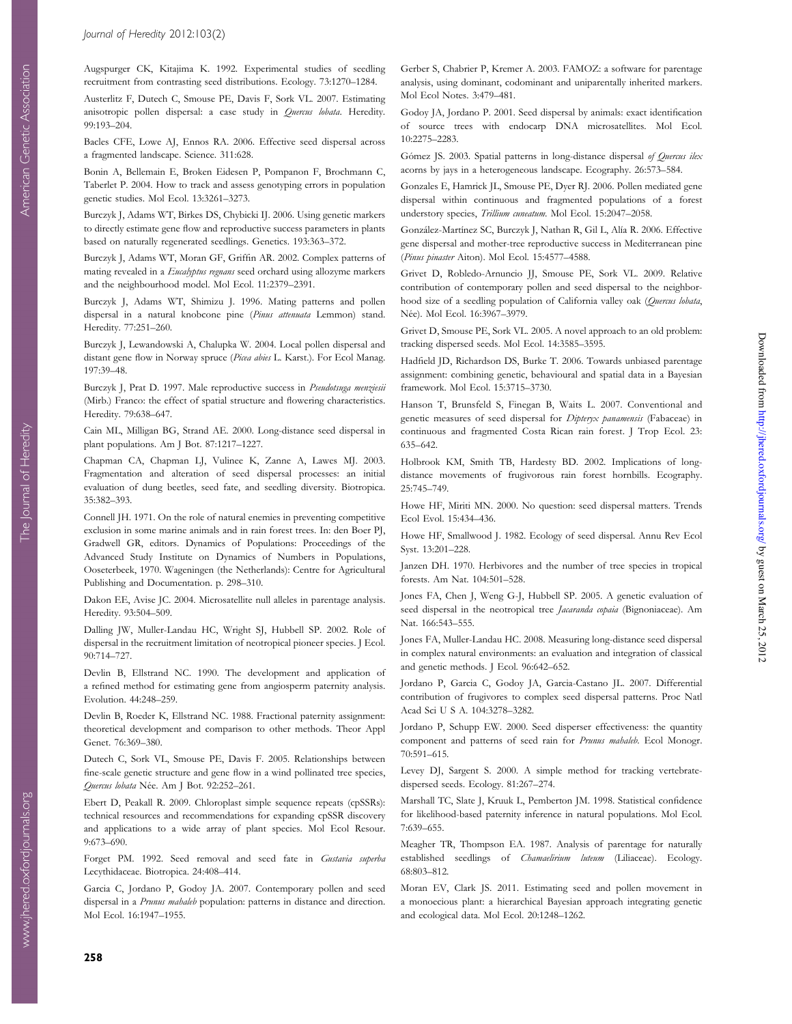Augspurger CK, Kitajima K. 1992. Experimental studies of seedling recruitment from contrasting seed distributions. Ecology. 73:1270–1284.

Austerlitz F, Dutech C, Smouse PE, Davis F, Sork VL. 2007. Estimating anisotropic pollen dispersal: a case study in *Quercus lobata*. Heredity. 99:193–204.

Bacles CFE, Lowe AJ, Ennos RA. 2006. Effective seed dispersal across a fragmented landscape. Science. 311:628.

Bonin A, Bellemain E, Broken Eidesen P, Pompanon F, Brochmann C, Taberlet P. 2004. How to track and assess genotyping errors in population genetic studies. Mol Ecol. 13:3261–3273.

Burczyk J, Adams WT, Birkes DS, Chybicki IJ. 2006. Using genetic markers to directly estimate gene flow and reproductive success parameters in plants based on naturally regenerated seedlings. Genetics. 193:363–372.

Burczyk J, Adams WT, Moran GF, Griffin AR. 2002. Complex patterns of mating revealed in a Eucalyptus regnans seed orchard using allozyme markers and the neighbourhood model. Mol Ecol. 11:2379–2391.

Burczyk J, Adams WT, Shimizu J. 1996. Mating patterns and pollen dispersal in a natural knobcone pine (Pinus attenuata Lemmon) stand. Heredity. 77:251–260.

Burczyk J, Lewandowski A, Chalupka W. 2004. Local pollen dispersal and distant gene flow in Norway spruce (Picea abies L. Karst.). For Ecol Manag. 197:39–48.

Burczyk J, Prat D. 1997. Male reproductive success in Pseudotsuga menziesii (Mirb.) Franco: the effect of spatial structure and flowering characteristics. Heredity. 79:638–647.

Cain ML, Milligan BG, Strand AE. 2000. Long-distance seed dispersal in plant populations. Am J Bot. 87:1217–1227.

Chapman CA, Chapman LJ, Vulinee K, Zanne A, Lawes MJ. 2003. Fragmentation and alteration of seed dispersal processes: an initial evaluation of dung beetles, seed fate, and seedling diversity. Biotropica. 35:382–393.

Connell JH. 1971. On the role of natural enemies in preventing competitive exclusion in some marine animals and in rain forest trees. In: den Boer PJ, Gradwell GR, editors. Dynamics of Populations: Proceedings of the Advanced Study Institute on Dynamics of Numbers in Populations, Ooseterbeek, 1970. Wageningen (the Netherlands): Centre for Agricultural Publishing and Documentation. p. 298–310.

Dakon EE, Avise JC. 2004. Microsatellite null alleles in parentage analysis. Heredity. 93:504–509.

Dalling JW, Muller-Landau HC, Wright SJ, Hubbell SP. 2002. Role of dispersal in the recruitment limitation of neotropical pioneer species. J Ecol. 90:714–727.

Devlin B, Ellstrand NC. 1990. The development and application of a refined method for estimating gene from angiosperm paternity analysis. Evolution. 44:248–259.

Devlin B, Roeder K, Ellstrand NC. 1988. Fractional paternity assignment: theoretical development and comparison to other methods. Theor Appl Genet. 76:369–380.

Dutech C, Sork VL, Smouse PE, Davis F. 2005. Relationships between fine-scale genetic structure and gene flow in a wind pollinated tree species, Quercus lobata Née. Am J Bot. 92:252-261.

Ebert D, Peakall R. 2009. Chloroplast simple sequence repeats (cpSSRs): technical resources and recommendations for expanding cpSSR discovery and applications to a wide array of plant species. Mol Ecol Resour. 9:673–690.

Forget PM. 1992. Seed removal and seed fate in Gustavia superba Lecythidaceae. Biotropica. 24:408–414.

Garcia C, Jordano P, Godoy JA. 2007. Contemporary pollen and seed dispersal in a Prunus mahaleb population: patterns in distance and direction. Mol Ecol. 16:1947–1955.

Gerber S, Chabrier P, Kremer A. 2003. FAMOZ: a software for parentage analysis, using dominant, codominant and uniparentally inherited markers. Mol Ecol Notes. 3:479–481.

Godoy JA, Jordano P. 2001. Seed dispersal by animals: exact identification of source trees with endocarp DNA microsatellites. Mol Ecol. 10:2275–2283.

Gómez JS. 2003. Spatial patterns in long-distance dispersal of Quercus ilex acorns by jays in a heterogeneous landscape. Ecography. 26:573–584.

Gonzales E, Hamrick JL, Smouse PE, Dyer RJ. 2006. Pollen mediated gene dispersal within continuous and fragmented populations of a forest understory species, Trillium cuneatum. Mol Ecol. 15:2047-2058.

González-Martínez SC, Burczyk J, Nathan R, Gil L, Alía R. 2006. Effective gene dispersal and mother-tree reproductive success in Mediterranean pine (Pinus pinaster Aiton). Mol Ecol. 15:4577–4588.

Grivet D, Robledo-Arnuncio JJ, Smouse PE, Sork VL. 2009. Relative contribution of contemporary pollen and seed dispersal to the neighborhood size of a seedling population of California valley oak (Quercus lobata, Née). Mol Ecol. 16:3967-3979.

Grivet D, Smouse PE, Sork VL. 2005. A novel approach to an old problem: tracking dispersed seeds. Mol Ecol. 14:3585–3595.

Hadfield JD, Richardson DS, Burke T. 2006. Towards unbiased parentage assignment: combining genetic, behavioural and spatial data in a Bayesian framework. Mol Ecol. 15:3715–3730.

Hanson T, Brunsfeld S, Finegan B, Waits L. 2007. Conventional and genetic measures of seed dispersal for Dipteryx panamensis (Fabaceae) in continuous and fragmented Costa Rican rain forest. J Trop Ecol. 23: 635–642.

Holbrook KM, Smith TB, Hardesty BD. 2002. Implications of longdistance movements of frugivorous rain forest hornbills. Ecography. 25:745–749.

Howe HF, Miriti MN. 2000. No question: seed dispersal matters. Trends Ecol Evol. 15:434–436.

Howe HF, Smallwood J. 1982. Ecology of seed dispersal. Annu Rev Ecol Syst. 13:201–228.

Janzen DH. 1970. Herbivores and the number of tree species in tropical forests. Am Nat. 104:501–528.

Jones FA, Chen J, Weng G-J, Hubbell SP. 2005. A genetic evaluation of seed dispersal in the neotropical tree *Jacaranda copaia* (Bignoniaceae). Am Nat. 166:543–555.

Jones FA, Muller-Landau HC. 2008. Measuring long-distance seed dispersal in complex natural environments: an evaluation and integration of classical and genetic methods. J Ecol. 96:642–652.

Jordano P, Garcia C, Godoy JA, Garcia-Castano JL. 2007. Differential contribution of frugivores to complex seed dispersal patterns. Proc Natl Acad Sci U S A. 104:3278–3282.

Jordano P, Schupp EW. 2000. Seed disperser effectiveness: the quantity component and patterns of seed rain for Prunus mahaleh. Ecol Monogr. 70:591–615.

Levey DJ, Sargent S. 2000. A simple method for tracking vertebratedispersed seeds. Ecology. 81:267–274.

Marshall TC, Slate J, Kruuk L, Pemberton JM. 1998. Statistical confidence for likelihood-based paternity inference in natural populations. Mol Ecol. 7:639–655.

Meagher TR, Thompson EA. 1987. Analysis of parentage for naturally established seedlings of *Chamaelirium luteum* (Liliaceae). Ecology. 68:803–812.

Moran EV, Clark JS. 2011. Estimating seed and pollen movement in a monoecious plant: a hierarchical Bayesian approach integrating genetic and ecological data. Mol Ecol. 20:1248–1262.